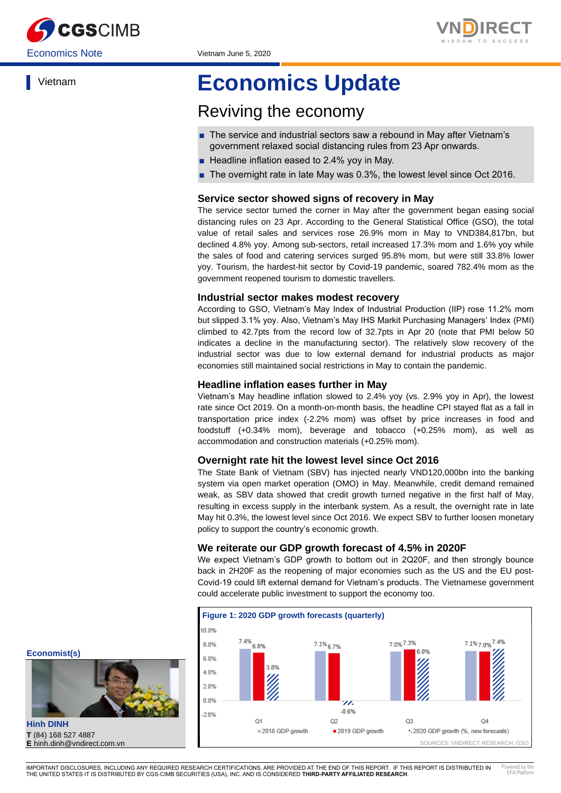



Vietnam

# **Economics Update**

## Reviving the economy

- The service and industrial sectors saw a rebound in May after Vietnam's government relaxed social distancing rules from 23 Apr onwards.
- Headline inflation eased to 2.4% yoy in May.
- The overnight rate in late May was 0.3%, the lowest level since Oct 2016.

## **Service sector showed signs of recovery in May**

The service sector turned the corner in May after the government began easing social distancing rules on 23 Apr. According to the General Statistical Office (GSO), the total value of retail sales and services rose 26.9% mom in May to VND384,817bn, but declined 4.8% yoy. Among sub-sectors, retail increased 17.3% mom and 1.6% yoy while the sales of food and catering services surged 95.8% mom, but were still 33.8% lower yoy. Tourism, the hardest-hit sector by Covid-19 pandemic, soared 782.4% mom as the government reopened tourism to domestic travellers.

## **Industrial sector makes modest recovery**

According to GSO, Vietnam's May Index of Industrial Production (IIP) rose 11.2% mom but slipped 3.1% yoy. Also, Vietnam's May IHS Markit Purchasing Managers' Index (PMI) climbed to 42.7pts from the record low of 32.7pts in Apr 20 (note that PMI below 50 indicates a decline in the manufacturing sector). The relatively slow recovery of the industrial sector was due to low external demand for industrial products as major economies still maintained social restrictions in May to contain the pandemic.

## **Headline inflation eases further in May**

Vietnam's May headline inflation slowed to 2.4% yoy (vs. 2.9% yoy in Apr), the lowest rate since Oct 2019. On a month-on-month basis, the headline CPI stayed flat as a fall in transportation price index (-2.2% mom) was offset by price increases in food and foodstuff (+0.34% mom), beverage and tobacco (+0.25% mom), as well as accommodation and construction materials (+0.25% mom).

## **Overnight rate hit the lowest level since Oct 2016**

The State Bank of Vietnam (SBV) has injected nearly VND120,000bn into the banking system via open market operation (OMO) in May. Meanwhile, credit demand remained weak, as SBV data showed that credit growth turned negative in the first half of May, resulting in excess supply in the interbank system. As a result, the overnight rate in late May hit 0.3%, the lowest level since Oct 2016. We expect SBV to further loosen monetary policy to support the country's economic growth.

## **We reiterate our GDP growth forecast of 4.5% in 2020F**

We expect Vietnam's GDP growth to bottom out in 2Q20F, and then strongly bounce back in 2H20F as the reopening of major economies such as the US and the EU post-Covid-19 could lift external demand for Vietnam's products. The Vietnamese government could accelerate public investment to support the economy too.



**Economist(s)**



**Hinh DINH T** (84) 168 527 4887 **E** hinh.dinh@vndirect.com.vn

IMPORTANT DISCLOSURES, INCLUDING ANY REQUIRED RESEARCH CERTIFICATIONS, ARE PROVIDED AT THE END OF THIS REPORT. IF THIS REPORT IS DISTRIBUTED IN THE UNITED STATES IT IS DISTRIBUTED BY CGS-CIMB SECURITIES (USA), INC. AND IS CONSIDERED **THIRD-PARTY AFFILIATED RESEARCH**. Powered by the EFA Platform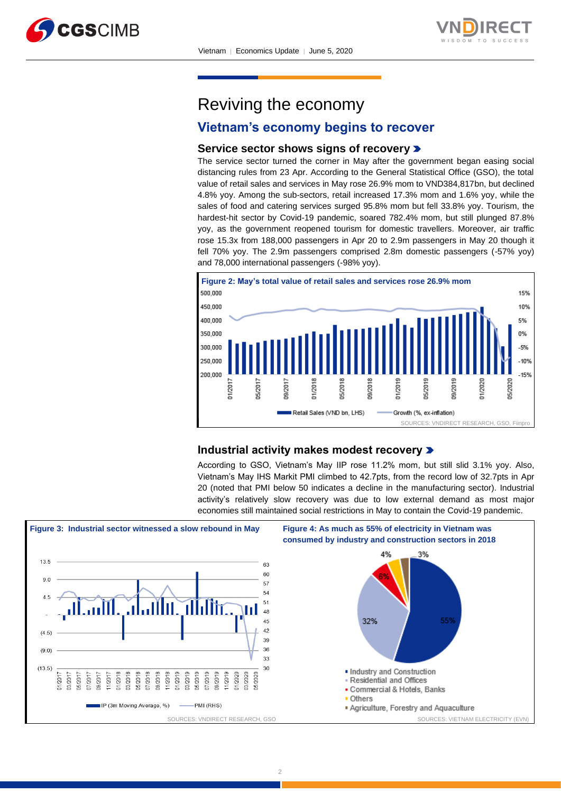



Reviving the economy

## **Vietnam's economy begins to recover**

## **Service sector shows signs of recovery**

The service sector turned the corner in May after the government began easing social distancing rules from 23 Apr. According to the General Statistical Office (GSO), the total value of retail sales and services in May rose 26.9% mom to VND384,817bn, but declined 4.8% yoy. Among the sub-sectors, retail increased 17.3% mom and 1.6% yoy, while the sales of food and catering services surged 95.8% mom but fell 33.8% yoy. Tourism, the hardest-hit sector by Covid-19 pandemic, soared 782.4% mom, but still plunged 87.8% yoy, as the government reopened tourism for domestic travellers. Moreover, air traffic rose 15.3x from 188,000 passengers in Apr 20 to 2.9m passengers in May 20 though it fell 70% yoy. The 2.9m passengers comprised 2.8m domestic passengers (-57% yoy) and 78,000 international passengers (-98% yoy).



## **Industrial activity makes modest recovery**

According to GSO, Vietnam's May IIP rose 11.2% mom, but still slid 3.1% yoy. Also, Vietnam's May IHS Markit PMI climbed to 42.7pts, from the record low of 32.7pts in Apr 20 (noted that PMI below 50 indicates a decline in the manufacturing sector). Industrial activity's relatively slow recovery was due to low external demand as most major economies still maintained social restrictions in May to contain the Covid-19 pandemic.

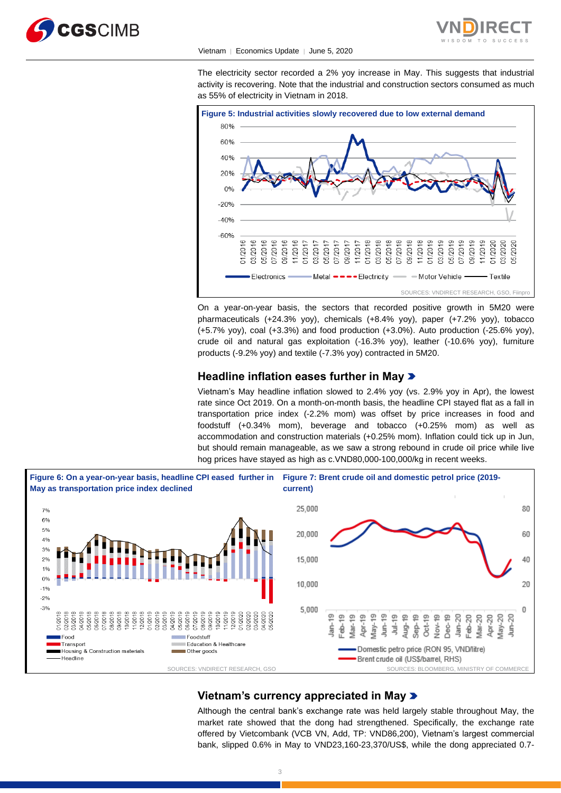



#### Vietnam │ Economics Update │ June 5, 2020

The electricity sector recorded a 2% yoy increase in May. This suggests that industrial activity is recovering. Note that the industrial and construction sectors consumed as much as 55% of electricity in Vietnam in 2018.



On a year-on-year basis, the sectors that recorded positive growth in 5M20 were pharmaceuticals (+24.3% yoy), chemicals (+8.4% yoy), paper (+7.2% yoy), tobacco (+5.7% yoy), coal (+3.3%) and food production (+3.0%). Auto production (-25.6% yoy), crude oil and natural gas exploitation (-16.3% yoy), leather (-10.6% yoy), furniture products (-9.2% yoy) and textile (-7.3% yoy) contracted in 5M20.

## **Headline inflation eases further in May**

Vietnam's May headline inflation slowed to 2.4% yoy (vs. 2.9% yoy in Apr), the lowest rate since Oct 2019. On a month-on-month basis, the headline CPI stayed flat as a fall in transportation price index (-2.2% mom) was offset by price increases in food and foodstuff (+0.34% mom), beverage and tobacco (+0.25% mom) as well as accommodation and construction materials (+0.25% mom). Inflation could tick up in Jun, but should remain manageable, as we saw a strong rebound in crude oil price while live hog prices have stayed as high as c.VND80,000-100,000/kg in recent weeks.



## **Vietnam's currency appreciated in May**

Although the central bank's exchange rate was held largely stable throughout May, the market rate showed that the dong had strengthened. Specifically, the exchange rate offered by Vietcombank (VCB VN, Add, TP: VND86,200), Vietnam's largest commercial bank, slipped 0.6% in May to VND23,160-23,370/US\$, while the dong appreciated 0.7-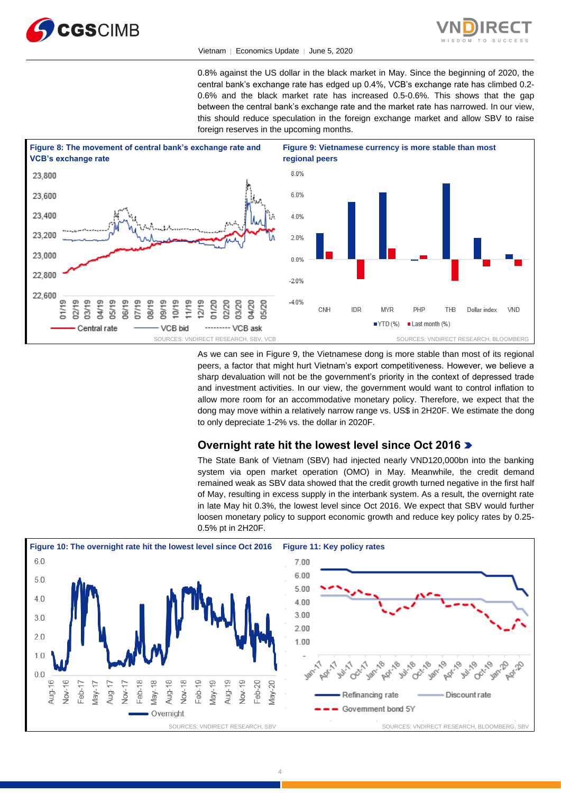



#### Vietnam ∣ Economics Update ∣ June 5, 2020

0.8% against the US dollar in the black market in May. Since the beginning of 2020, the central bank's exchange rate has edged up 0.4%, VCB's exchange rate has climbed 0.2- 0.6% and the black market rate has increased 0.5-0.6%. This shows that the gap between the central bank's exchange rate and the market rate has narrowed. In our view, this should reduce speculation in the foreign exchange market and allow SBV to raise foreign reserves in the upcoming months.



As we can see in Figure 9, the Vietnamese dong is more stable than most of its regional peers, a factor that might hurt Vietnam's export competitiveness. However, we believe a sharp devaluation will not be the government's priority in the context of depressed trade and investment activities. In our view, the government would want to control inflation to allow more room for an accommodative monetary policy. Therefore, we expect that the dong may move within a relatively narrow range vs. US\$ in 2H20F. We estimate the dong to only depreciate 1-2% vs. the dollar in 2020F.

## **Overnight rate hit the lowest level since Oct 2016**

The State Bank of Vietnam (SBV) had injected nearly VND120,000bn into the banking system via open market operation (OMO) in May. Meanwhile, the credit demand remained weak as SBV data showed that the credit growth turned negative in the first half of May, resulting in excess supply in the interbank system. As a result, the overnight rate in late May hit 0.3%, the lowest level since Oct 2016. We expect that SBV would further loosen monetary policy to support economic growth and reduce key policy rates by 0.25- 0.5% pt in 2H20F.

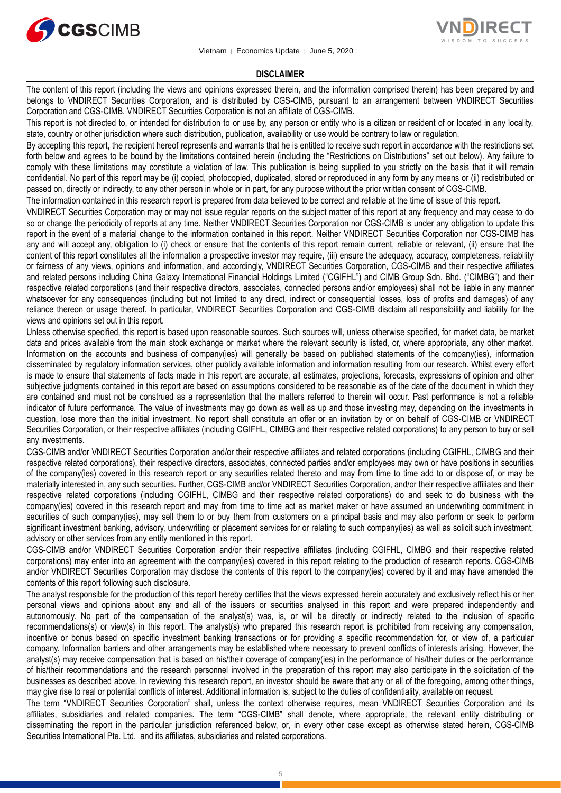



#### **DISCLAIMER**

The content of this report (including the views and opinions expressed therein, and the information comprised therein) has been prepared by and belongs to VNDIRECT Securities Corporation, and is distributed by CGS-CIMB, pursuant to an arrangement between VNDIRECT Securities Corporation and CGS-CIMB. VNDIRECT Securities Corporation is not an affiliate of CGS-CIMB.

This report is not directed to, or intended for distribution to or use by, any person or entity who is a citizen or resident of or located in any locality, state, country or other jurisdiction where such distribution, publication, availability or use would be contrary to law or regulation.

By accepting this report, the recipient hereof represents and warrants that he is entitled to receive such report in accordance with the restrictions set forth below and agrees to be bound by the limitations contained herein (including the "Restrictions on Distributions" set out below). Any failure to comply with these limitations may constitute a violation of law. This publication is being supplied to you strictly on the basis that it will remain confidential. No part of this report may be (i) copied, photocopied, duplicated, stored or reproduced in any form by any means or (ii) redistributed or passed on, directly or indirectly, to any other person in whole or in part, for any purpose without the prior written consent of CGS-CIMB.

The information contained in this research report is prepared from data believed to be correct and reliable at the time of issue of this report.

VNDIRECT Securities Corporation may or may not issue regular reports on the subject matter of this report at any frequency and may cease to do so or change the periodicity of reports at any time. Neither VNDIRECT Securities Corporation nor CGS-CIMB is under any obligation to update this report in the event of a material change to the information contained in this report. Neither VNDIRECT Securities Corporation nor CGS-CIMB has any and will accept any, obligation to (i) check or ensure that the contents of this report remain current, reliable or relevant, (ii) ensure that the content of this report constitutes all the information a prospective investor may require, (iii) ensure the adequacy, accuracy, completeness, reliability or fairness of any views, opinions and information, and accordingly, VNDIRECT Securities Corporation, CGS-CIMB and their respective affiliates and related persons including China Galaxy International Financial Holdings Limited ("CGIFHL") and CIMB Group Sdn. Bhd. ("CIMBG") and their respective related corporations (and their respective directors, associates, connected persons and/or employees) shall not be liable in any manner whatsoever for any consequences (including but not limited to any direct, indirect or consequential losses, loss of profits and damages) of any reliance thereon or usage thereof. In particular, VNDIRECT Securities Corporation and CGS-CIMB disclaim all responsibility and liability for the views and opinions set out in this report.

Unless otherwise specified, this report is based upon reasonable sources. Such sources will, unless otherwise specified, for market data, be market data and prices available from the main stock exchange or market where the relevant security is listed, or, where appropriate, any other market. Information on the accounts and business of company(ies) will generally be based on published statements of the company(ies), information disseminated by regulatory information services, other publicly available information and information resulting from our research. Whilst every effort is made to ensure that statements of facts made in this report are accurate, all estimates, projections, forecasts, expressions of opinion and other subjective judgments contained in this report are based on assumptions considered to be reasonable as of the date of the document in which they are contained and must not be construed as a representation that the matters referred to therein will occur. Past performance is not a reliable indicator of future performance. The value of investments may go down as well as up and those investing may, depending on the investments in question, lose more than the initial investment. No report shall constitute an offer or an invitation by or on behalf of CGS-CIMB or VNDIRECT Securities Corporation, or their respective affiliates (including CGIFHL, CIMBG and their respective related corporations) to any person to buy or sell any investments.

CGS-CIMB and/or VNDIRECT Securities Corporation and/or their respective affiliates and related corporations (including CGIFHL, CIMBG and their respective related corporations), their respective directors, associates, connected parties and/or employees may own or have positions in securities of the company(ies) covered in this research report or any securities related thereto and may from time to time add to or dispose of, or may be materially interested in, any such securities. Further, CGS-CIMB and/or VNDIRECT Securities Corporation, and/or their respective affiliates and their respective related corporations (including CGIFHL, CIMBG and their respective related corporations) do and seek to do business with the company(ies) covered in this research report and may from time to time act as market maker or have assumed an underwriting commitment in securities of such company(ies), may sell them to or buy them from customers on a principal basis and may also perform or seek to perform significant investment banking, advisory, underwriting or placement services for or relating to such company(ies) as well as solicit such investment, advisory or other services from any entity mentioned in this report.

CGS-CIMB and/or VNDIRECT Securities Corporation and/or their respective affiliates (including CGIFHL, CIMBG and their respective related corporations) may enter into an agreement with the company(ies) covered in this report relating to the production of research reports. CGS-CIMB and/or VNDIRECT Securities Corporation may disclose the contents of this report to the company(ies) covered by it and may have amended the contents of this report following such disclosure.

The analyst responsible for the production of this report hereby certifies that the views expressed herein accurately and exclusively reflect his or her personal views and opinions about any and all of the issuers or securities analysed in this report and were prepared independently and autonomously. No part of the compensation of the analyst(s) was, is, or will be directly or indirectly related to the inclusion of specific recommendations(s) or view(s) in this report. The analyst(s) who prepared this research report is prohibited from receiving any compensation, incentive or bonus based on specific investment banking transactions or for providing a specific recommendation for, or view of, a particular company. Information barriers and other arrangements may be established where necessary to prevent conflicts of interests arising. However, the analyst(s) may receive compensation that is based on his/their coverage of company(ies) in the performance of his/their duties or the performance of his/their recommendations and the research personnel involved in the preparation of this report may also participate in the solicitation of the businesses as described above. In reviewing this research report, an investor should be aware that any or all of the foregoing, among other things, may give rise to real or potential conflicts of interest. Additional information is, subject to the duties of confidentiality, available on request.

The term "VNDIRECT Securities Corporation" shall, unless the context otherwise requires, mean VNDIRECT Securities Corporation and its affiliates, subsidiaries and related companies. The term "CGS-CIMB" shall denote, where appropriate, the relevant entity distributing or disseminating the report in the particular jurisdiction referenced below, or, in every other case except as otherwise stated herein, CGS-CIMB Securities International Pte. Ltd. and its affiliates, subsidiaries and related corporations.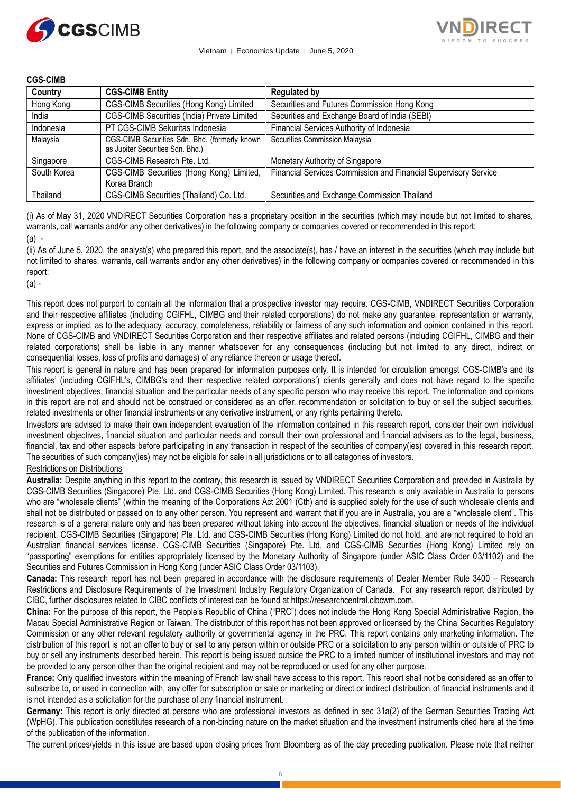



## **CGS-CIMB**

| Country     | <b>CGS-CIMB Entity</b>                                                            | <b>Regulated by</b>                                                    |
|-------------|-----------------------------------------------------------------------------------|------------------------------------------------------------------------|
| Hong Kong   | CGS-CIMB Securities (Hong Kong) Limited                                           | Securities and Futures Commission Hong Kong                            |
| India       | CGS-CIMB Securities (India) Private Limited                                       | Securities and Exchange Board of India (SEBI)                          |
| Indonesia   | PT CGS-CIMB Sekuritas Indonesia                                                   | Financial Services Authority of Indonesia                              |
| Malaysia    | CGS-CIMB Securities Sdn. Bhd. (formerly known<br>as Jupiter Securities Sdn. Bhd.) | Securities Commission Malaysia                                         |
| Singapore   | CGS-CIMB Research Pte. Ltd.                                                       | Monetary Authority of Singapore                                        |
| South Korea | CGS-CIMB Securities (Hong Kong) Limited,<br>Korea Branch                          | <b>Financial Services Commission and Financial Supervisory Service</b> |
| Thailand    | CGS-CIMB Securities (Thailand) Co. Ltd.                                           | Securities and Exchange Commission Thailand                            |

(i) As of May 31, 2020 VNDIRECT Securities Corporation has a proprietary position in the securities (which may include but not limited to shares, warrants, call warrants and/or any other derivatives) in the following company or companies covered or recommended in this report: (a) -

(ii) As of June 5, 2020, the analyst(s) who prepared this report, and the associate(s), has / have an interest in the securities (which may include but not limited to shares, warrants, call warrants and/or any other derivatives) in the following company or companies covered or recommended in this report:

(a) -

This report does not purport to contain all the information that a prospective investor may require. CGS-CIMB, VNDIRECT Securities Corporation and their respective affiliates (including CGIFHL, CIMBG and their related corporations) do not make any guarantee, representation or warranty, express or implied, as to the adequacy, accuracy, completeness, reliability or fairness of any such information and opinion contained in this report. None of CGS-CIMB and VNDIRECT Securities Corporation and their respective affiliates and related persons (including CGIFHL, CIMBG and their related corporations) shall be liable in any manner whatsoever for any consequences (including but not limited to any direct, indirect or consequential losses, loss of profits and damages) of any reliance thereon or usage thereof.

This report is general in nature and has been prepared for information purposes only. It is intended for circulation amongst CGS-CIMB's and its affiliates' (including CGIFHL's, CIMBG's and their respective related corporations') clients generally and does not have regard to the specific investment objectives, financial situation and the particular needs of any specific person who may receive this report. The information and opinions in this report are not and should not be construed or considered as an offer, recommendation or solicitation to buy or sell the subject securities, related investments or other financial instruments or any derivative instrument, or any rights pertaining thereto.

Investors are advised to make their own independent evaluation of the information contained in this research report, consider their own individual investment objectives, financial situation and particular needs and consult their own professional and financial advisers as to the legal, business, financial, tax and other aspects before participating in any transaction in respect of the securities of company(ies) covered in this research report. The securities of such company(ies) may not be eligible for sale in all jurisdictions or to all categories of investors.

## Restrictions on Distributions

**Australia:** Despite anything in this report to the contrary, this research is issued by VNDIRECT Securities Corporation and provided in Australia by CGS-CIMB Securities (Singapore) Pte. Ltd. and CGS-CIMB Securities (Hong Kong) Limited. This research is only available in Australia to persons who are "wholesale clients" (within the meaning of the Corporations Act 2001 (Cth) and is supplied solely for the use of such wholesale clients and shall not be distributed or passed on to any other person. You represent and warrant that if you are in Australia, you are a "wholesale client". This research is of a general nature only and has been prepared without taking into account the objectives, financial situation or needs of the individual recipient. CGS-CIMB Securities (Singapore) Pte. Ltd. and CGS-CIMB Securities (Hong Kong) Limited do not hold, and are not required to hold an Australian financial services license. CGS-CIMB Securities (Singapore) Pte. Ltd. and CGS-CIMB Securities (Hong Kong) Limited rely on "passporting" exemptions for entities appropriately licensed by the Monetary Authority of Singapore (under ASIC Class Order 03/1102) and the Securities and Futures Commission in Hong Kong (under ASIC Class Order 03/1103).

**Canada:** This research report has not been prepared in accordance with the disclosure requirements of Dealer Member Rule 3400 – Research Restrictions and Disclosure Requirements of the Investment Industry Regulatory Organization of Canada. For any research report distributed by CIBC, further disclosures related to CIBC conflicts of interest can be found at https://researchcentral.cibcwm.com.

**China:** For the purpose of this report, the People's Republic of China ("PRC") does not include the Hong Kong Special Administrative Region, the Macau Special Administrative Region or Taiwan. The distributor of this report has not been approved or licensed by the China Securities Regulatory Commission or any other relevant regulatory authority or governmental agency in the PRC. This report contains only marketing information. The distribution of this report is not an offer to buy or sell to any person within or outside PRC or a solicitation to any person within or outside of PRC to buy or sell any instruments described herein. This report is being issued outside the PRC to a limited number of institutional investors and may not be provided to any person other than the original recipient and may not be reproduced or used for any other purpose.

**France:** Only qualified investors within the meaning of French law shall have access to this report. This report shall not be considered as an offer to subscribe to, or used in connection with, any offer for subscription or sale or marketing or direct or indirect distribution of financial instruments and it is not intended as a solicitation for the purchase of any financial instrument.

**Germany:** This report is only directed at persons who are professional investors as defined in sec 31a(2) of the German Securities Trading Act (WpHG). This publication constitutes research of a non-binding nature on the market situation and the investment instruments cited here at the time of the publication of the information.

The current prices/yields in this issue are based upon closing prices from Bloomberg as of the day preceding publication. Please note that neither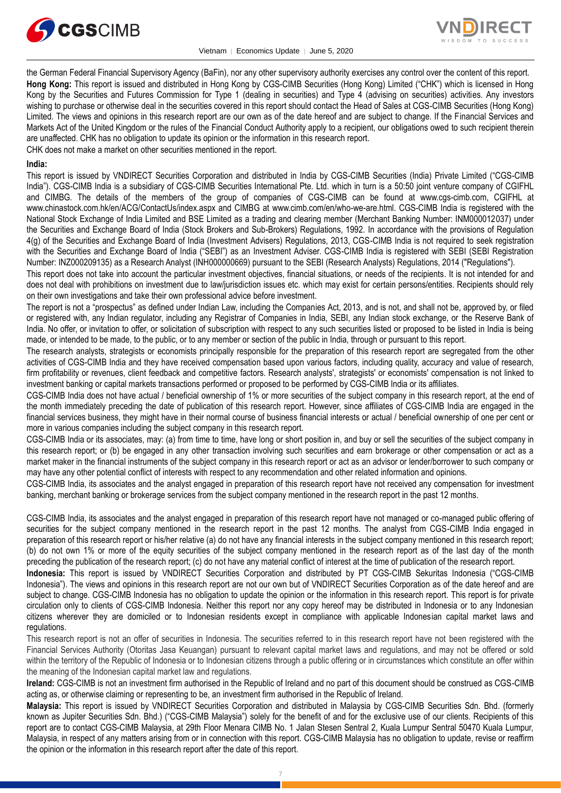

Vietnam │ Economics Update │ June 5, 2020



the German Federal Financial Supervisory Agency (BaFin), nor any other supervisory authority exercises any control over the content of this report. **Hong Kong:** This report is issued and distributed in Hong Kong by CGS-CIMB Securities (Hong Kong) Limited ("CHK") which is licensed in Hong Kong by the Securities and Futures Commission for Type 1 (dealing in securities) and Type 4 (advising on securities) activities. Any investors wishing to purchase or otherwise deal in the securities covered in this report should contact the Head of Sales at CGS-CIMB Securities (Hong Kong) Limited. The views and opinions in this research report are our own as of the date hereof and are subject to change. If the Financial Services and Markets Act of the United Kingdom or the rules of the Financial Conduct Authority apply to a recipient, our obligations owed to such recipient therein are unaffected. CHK has no obligation to update its opinion or the information in this research report.

CHK does not make a market on other securities mentioned in the report.

## **India:**

This report is issued by VNDIRECT Securities Corporation and distributed in India by CGS-CIMB Securities (India) Private Limited ("CGS-CIMB India"). CGS-CIMB India is a subsidiary of CGS-CIMB Securities International Pte. Ltd. which in turn is a 50:50 joint venture company of CGIFHL and CIMBG. The details of the members of the group of companies of CGS-CIMB can be found at www.cgs-cimb.com, CGIFHL at www.chinastock.com.hk/en/ACG/ContactUs/index.aspx and CIMBG at www.cimb.com/en/who-we-are.html. CGS-CIMB India is registered with the National Stock Exchange of India Limited and BSE Limited as a trading and clearing member (Merchant Banking Number: INM000012037) under the Securities and Exchange Board of India (Stock Brokers and Sub-Brokers) Regulations, 1992. In accordance with the provisions of Regulation 4(g) of the Securities and Exchange Board of India (Investment Advisers) Regulations, 2013, CGS-CIMB India is not required to seek registration with the Securities and Exchange Board of India ("SEBI") as an Investment Adviser. CGS-CIMB India is registered with SEBI (SEBI Registration Number: INZ000209135) as a Research Analyst (INH000000669) pursuant to the SEBI (Research Analysts) Regulations, 2014 ("Regulations").

This report does not take into account the particular investment objectives, financial situations, or needs of the recipients. It is not intended for and does not deal with prohibitions on investment due to law/jurisdiction issues etc. which may exist for certain persons/entities. Recipients should rely on their own investigations and take their own professional advice before investment.

The report is not a "prospectus" as defined under Indian Law, including the Companies Act, 2013, and is not, and shall not be, approved by, or filed or registered with, any Indian regulator, including any Registrar of Companies in India, SEBI, any Indian stock exchange, or the Reserve Bank of India. No offer, or invitation to offer, or solicitation of subscription with respect to any such securities listed or proposed to be listed in India is being made, or intended to be made, to the public, or to any member or section of the public in India, through or pursuant to this report.

The research analysts, strategists or economists principally responsible for the preparation of this research report are segregated from the other activities of CGS-CIMB India and they have received compensation based upon various factors, including quality, accuracy and value of research, firm profitability or revenues, client feedback and competitive factors. Research analysts', strategists' or economists' compensation is not linked to investment banking or capital markets transactions performed or proposed to be performed by CGS-CIMB India or its affiliates.

CGS-CIMB India does not have actual / beneficial ownership of 1% or more securities of the subject company in this research report, at the end of the month immediately preceding the date of publication of this research report. However, since affiliates of CGS-CIMB India are engaged in the financial services business, they might have in their normal course of business financial interests or actual / beneficial ownership of one per cent or more in various companies including the subject company in this research report.

CGS-CIMB India or its associates, may: (a) from time to time, have long or short position in, and buy or sell the securities of the subject company in this research report; or (b) be engaged in any other transaction involving such securities and earn brokerage or other compensation or act as a market maker in the financial instruments of the subject company in this research report or act as an advisor or lender/borrower to such company or may have any other potential conflict of interests with respect to any recommendation and other related information and opinions.

CGS-CIMB India, its associates and the analyst engaged in preparation of this research report have not received any compensation for investment banking, merchant banking or brokerage services from the subject company mentioned in the research report in the past 12 months.

CGS-CIMB India, its associates and the analyst engaged in preparation of this research report have not managed or co-managed public offering of securities for the subject company mentioned in the research report in the past 12 months. The analyst from CGS-CIMB India engaged in preparation of this research report or his/her relative (a) do not have any financial interests in the subject company mentioned in this research report; (b) do not own 1% or more of the equity securities of the subject company mentioned in the research report as of the last day of the month preceding the publication of the research report; (c) do not have any material conflict of interest at the time of publication of the research report.

**Indonesia:** This report is issued by VNDIRECT Securities Corporation and distributed by PT CGS-CIMB Sekuritas Indonesia ("CGS-CIMB Indonesia"). The views and opinions in this research report are not our own but of VNDIRECT Securities Corporation as of the date hereof and are subject to change. CGS-CIMB Indonesia has no obligation to update the opinion or the information in this research report. This report is for private circulation only to clients of CGS-CIMB Indonesia. Neither this report nor any copy hereof may be distributed in Indonesia or to any Indonesian citizens wherever they are domiciled or to Indonesian residents except in compliance with applicable Indonesian capital market laws and regulations.

This research report is not an offer of securities in Indonesia. The securities referred to in this research report have not been registered with the Financial Services Authority (Otoritas Jasa Keuangan) pursuant to relevant capital market laws and regulations, and may not be offered or sold within the territory of the Republic of Indonesia or to Indonesian citizens through a public offering or in circumstances which constitute an offer within the meaning of the Indonesian capital market law and regulations.

**Ireland:** CGS-CIMB is not an investment firm authorised in the Republic of Ireland and no part of this document should be construed as CGS-CIMB acting as, or otherwise claiming or representing to be, an investment firm authorised in the Republic of Ireland.

**Malaysia:** This report is issued by VNDIRECT Securities Corporation and distributed in Malaysia by CGS-CIMB Securities Sdn. Bhd. (formerly known as Jupiter Securities Sdn. Bhd.) ("CGS-CIMB Malaysia") solely for the benefit of and for the exclusive use of our clients. Recipients of this report are to contact CGS-CIMB Malaysia, at 29th Floor Menara CIMB No. 1 Jalan Stesen Sentral 2, Kuala Lumpur Sentral 50470 Kuala Lumpur, Malaysia, in respect of any matters arising from or in connection with this report. CGS-CIMB Malaysia has no obligation to update, revise or reaffirm the opinion or the information in this research report after the date of this report.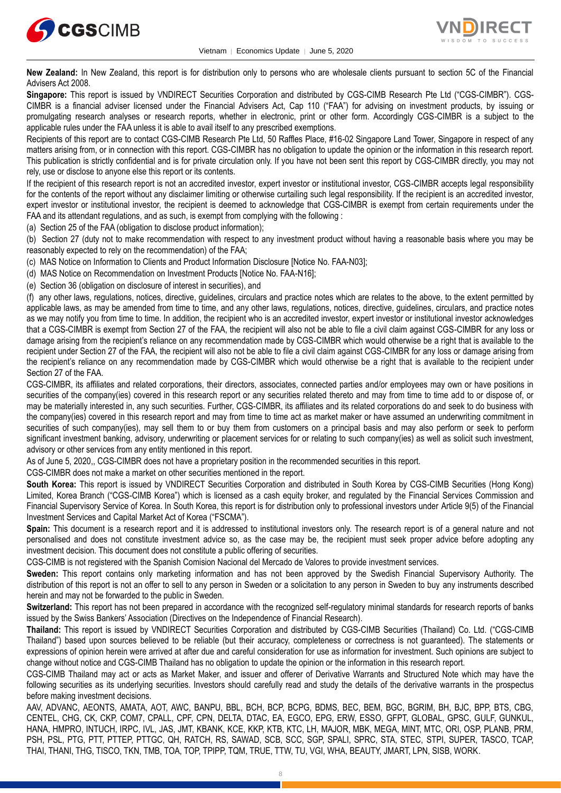



**New Zealand:** In New Zealand, this report is for distribution only to persons who are wholesale clients pursuant to section 5C of the Financial Advisers Act 2008.

**Singapore:** This report is issued by VNDIRECT Securities Corporation and distributed by CGS-CIMB Research Pte Ltd ("CGS-CIMBR"). CGS-CIMBR is a financial adviser licensed under the Financial Advisers Act, Cap 110 ("FAA") for advising on investment products, by issuing or promulgating research analyses or research reports, whether in electronic, print or other form. Accordingly CGS-CIMBR is a subject to the applicable rules under the FAA unless it is able to avail itself to any prescribed exemptions.

Recipients of this report are to contact CGS-CIMB Research Pte Ltd, 50 Raffles Place, #16-02 Singapore Land Tower, Singapore in respect of any matters arising from, or in connection with this report. CGS-CIMBR has no obligation to update the opinion or the information in this research report. This publication is strictly confidential and is for private circulation only. If you have not been sent this report by CGS-CIMBR directly, you may not rely, use or disclose to anyone else this report or its contents.

If the recipient of this research report is not an accredited investor, expert investor or institutional investor, CGS-CIMBR accepts legal responsibility for the contents of the report without any disclaimer limiting or otherwise curtailing such legal responsibility. If the recipient is an accredited investor, expert investor or institutional investor, the recipient is deemed to acknowledge that CGS-CIMBR is exempt from certain requirements under the FAA and its attendant regulations, and as such, is exempt from complying with the following :

(a) Section 25 of the FAA (obligation to disclose product information);

(b) Section 27 (duty not to make recommendation with respect to any investment product without having a reasonable basis where you may be reasonably expected to rely on the recommendation) of the FAA;

(c) MAS Notice on Information to Clients and Product Information Disclosure [Notice No. FAA-N03];

(d) MAS Notice on Recommendation on Investment Products [Notice No. FAA-N16];

(e) Section 36 (obligation on disclosure of interest in securities), and

(f) any other laws, regulations, notices, directive, guidelines, circulars and practice notes which are relates to the above, to the extent permitted by applicable laws, as may be amended from time to time, and any other laws, regulations, notices, directive, guidelines, circulars, and practice notes as we may notify you from time to time. In addition, the recipient who is an accredited investor, expert investor or institutional investor acknowledges that a CGS-CIMBR is exempt from Section 27 of the FAA, the recipient will also not be able to file a civil claim against CGS-CIMBR for any loss or damage arising from the recipient's reliance on any recommendation made by CGS-CIMBR which would otherwise be a right that is available to the recipient under Section 27 of the FAA, the recipient will also not be able to file a civil claim against CGS-CIMBR for any loss or damage arising from the recipient's reliance on any recommendation made by CGS-CIMBR which would otherwise be a right that is available to the recipient under Section 27 of the FAA.

CGS-CIMBR, its affiliates and related corporations, their directors, associates, connected parties and/or employees may own or have positions in securities of the company(ies) covered in this research report or any securities related thereto and may from time to time add to or dispose of, or may be materially interested in, any such securities. Further, CGS-CIMBR, its affiliates and its related corporations do and seek to do business with the company(ies) covered in this research report and may from time to time act as market maker or have assumed an underwriting commitment in securities of such company(ies), may sell them to or buy them from customers on a principal basis and may also perform or seek to perform significant investment banking, advisory, underwriting or placement services for or relating to such company(ies) as well as solicit such investment, advisory or other services from any entity mentioned in this report.

As of June 5, 2020,, CGS-CIMBR does not have a proprietary position in the recommended securities in this report.

CGS-CIMBR does not make a market on other securities mentioned in the report.

**South Korea:** This report is issued by VNDIRECT Securities Corporation and distributed in South Korea by CGS-CIMB Securities (Hong Kong) Limited, Korea Branch ("CGS-CIMB Korea") which is licensed as a cash equity broker, and regulated by the Financial Services Commission and Financial Supervisory Service of Korea. In South Korea, this report is for distribution only to professional investors under Article 9(5) of the Financial Investment Services and Capital Market Act of Korea ("FSCMA").

**Spain:** This document is a research report and it is addressed to institutional investors only. The research report is of a general nature and not personalised and does not constitute investment advice so, as the case may be, the recipient must seek proper advice before adopting any investment decision. This document does not constitute a public offering of securities.

CGS-CIMB is not registered with the Spanish Comision Nacional del Mercado de Valores to provide investment services.

**Sweden:** This report contains only marketing information and has not been approved by the Swedish Financial Supervisory Authority. The distribution of this report is not an offer to sell to any person in Sweden or a solicitation to any person in Sweden to buy any instruments described herein and may not be forwarded to the public in Sweden.

**Switzerland:** This report has not been prepared in accordance with the recognized self-regulatory minimal standards for research reports of banks issued by the Swiss Bankers' Association (Directives on the Independence of Financial Research).

**Thailand:** This report is issued by VNDIRECT Securities Corporation and distributed by CGS-CIMB Securities (Thailand) Co. Ltd. ("CGS-CIMB Thailand") based upon sources believed to be reliable (but their accuracy, completeness or correctness is not guaranteed). The statements or expressions of opinion herein were arrived at after due and careful consideration for use as information for investment. Such opinions are subject to change without notice and CGS-CIMB Thailand has no obligation to update the opinion or the information in this research report.

CGS-CIMB Thailand may act or acts as Market Maker, and issuer and offerer of Derivative Warrants and Structured Note which may have the following securities as its underlying securities. Investors should carefully read and study the details of the derivative warrants in the prospectus before making investment decisions.

AAV, ADVANC, AEONTS, AMATA, AOT, AWC, BANPU, BBL, BCH, BCP, BCPG, BDMS, BEC, BEM, BGC, BGRIM, BH, BJC, BPP, BTS, CBG, CENTEL, CHG, CK, CKP, COM7, CPALL, CPF, CPN, DELTA, DTAC, EA, EGCO, EPG, ERW, ESSO, GFPT, GLOBAL, GPSC, GULF, GUNKUL, HANA, HMPRO, INTUCH, IRPC, IVL, JAS, JMT, KBANK, KCE, KKP, KTB, KTC, LH, MAJOR, MBK, MEGA, MINT, MTC, ORI, OSP, PLANB, PRM, PSH, PSL, PTG, PTT, PTTEP, PTTGC, QH, RATCH, RS, SAWAD, SCB, SCC, SGP, SPALI, SPRC, STA, STEC, STPI, SUPER, TASCO, TCAP, THAI, THANI, THG, TISCO, TKN, TMB, TOA, TOP, TPIPP, TQM, TRUE, TTW, TU, VGI, WHA, BEAUTY, JMART, LPN, SISB, WORK.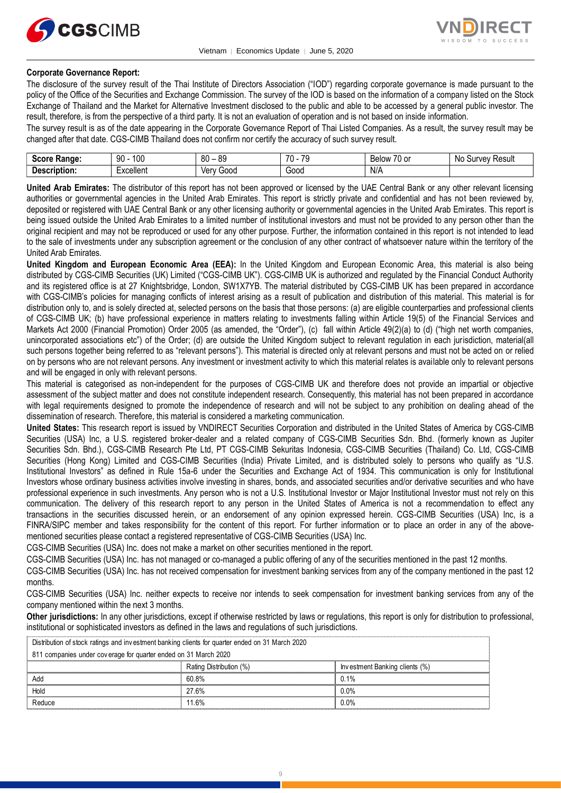



## **Corporate Governance Report:**

The disclosure of the survey result of the Thai Institute of Directors Association ("IOD") regarding corporate governance is made pursuant to the policy of the Office of the Securities and Exchange Commission. The survey of the IOD is based on the information of a company listed on the Stock Exchange of Thailand and the Market for Alternative Investment disclosed to the public and able to be accessed by a general public investor. The result, therefore, is from the perspective of a third party. It is not an evaluation of operation and is not based on inside information.

The survey result is as of the date appearing in the Corporate Governance Report of Thai Listed Companies. As a result, the survey result may be changed after that date. CGS-CIMB Thailand does not confirm nor certify the accuracy of such survey result.

| <b>Score</b><br>Range.         | 100<br>ഹ<br>IJΜ                             | 80<br>or<br>೦೮ | 70<br>$\overline{\phantom{a}}$<br>- 11<br>$\cdot$ | $\overline{\phantom{a}}$<br>-<br>ו הו<br><b>Below</b><br>ו טט | No<br>' Result<br><b>TVAV</b><br>Ju. |
|--------------------------------|---------------------------------------------|----------------|---------------------------------------------------|---------------------------------------------------------------|--------------------------------------|
| -<br>Descrip'<br>ription.<br>. | $\overline{\phantom{0}}$<br>'−xcellent<br>. | 000خ<br>Verv   | -<br>Good                                         | N/A                                                           |                                      |

**United Arab Emirates:** The distributor of this report has not been approved or licensed by the UAE Central Bank or any other relevant licensing authorities or governmental agencies in the United Arab Emirates. This report is strictly private and confidential and has not been reviewed by, deposited or registered with UAE Central Bank or any other licensing authority or governmental agencies in the United Arab Emirates. This report is being issued outside the United Arab Emirates to a limited number of institutional investors and must not be provided to any person other than the original recipient and may not be reproduced or used for any other purpose. Further, the information contained in this report is not intended to lead to the sale of investments under any subscription agreement or the conclusion of any other contract of whatsoever nature within the territory of the United Arab Emirates.

**United Kingdom and European Economic Area (EEA):** In the United Kingdom and European Economic Area, this material is also being distributed by CGS-CIMB Securities (UK) Limited ("CGS-CIMB UK"). CGS-CIMB UK is authorized and regulated by the Financial Conduct Authority and its registered office is at 27 Knightsbridge, London, SW1X7YB. The material distributed by CGS-CIMB UK has been prepared in accordance with CGS-CIMB's policies for managing conflicts of interest arising as a result of publication and distribution of this material. This material is for distribution only to, and is solely directed at, selected persons on the basis that those persons: (a) are eligible counterparties and professional clients of CGS-CIMB UK; (b) have professional experience in matters relating to investments falling within Article 19(5) of the Financial Services and Markets Act 2000 (Financial Promotion) Order 2005 (as amended, the "Order"), (c) fall within Article 49(2)(a) to (d) ("high net worth companies, unincorporated associations etc") of the Order; (d) are outside the United Kingdom subject to relevant regulation in each jurisdiction, material(all such persons together being referred to as "relevant persons"). This material is directed only at relevant persons and must not be acted on or relied on by persons who are not relevant persons. Any investment or investment activity to which this material relates is available only to relevant persons and will be engaged in only with relevant persons.

This material is categorised as non-independent for the purposes of CGS-CIMB UK and therefore does not provide an impartial or objective assessment of the subject matter and does not constitute independent research. Consequently, this material has not been prepared in accordance with legal requirements designed to promote the independence of research and will not be subject to any prohibition on dealing ahead of the dissemination of research. Therefore, this material is considered a marketing communication.

**United States:** This research report is issued by VNDIRECT Securities Corporation and distributed in the United States of America by CGS-CIMB Securities (USA) Inc, a U.S. registered broker-dealer and a related company of CGS-CIMB Securities Sdn. Bhd. (formerly known as Jupiter Securities Sdn. Bhd.), CGS-CIMB Research Pte Ltd, PT CGS-CIMB Sekuritas Indonesia, CGS-CIMB Securities (Thailand) Co. Ltd, CGS-CIMB Securities (Hong Kong) Limited and CGS-CIMB Securities (India) Private Limited, and is distributed solely to persons who qualify as "U.S. Institutional Investors" as defined in Rule 15a-6 under the Securities and Exchange Act of 1934. This communication is only for Institutional Investors whose ordinary business activities involve investing in shares, bonds, and associated securities and/or derivative securities and who have professional experience in such investments. Any person who is not a U.S. Institutional Investor or Major Institutional Investor must not rely on this communication. The delivery of this research report to any person in the United States of America is not a recommendation to effect any transactions in the securities discussed herein, or an endorsement of any opinion expressed herein. CGS-CIMB Securities (USA) Inc, is a FINRA/SIPC member and takes responsibility for the content of this report. For further information or to place an order in any of the abovementioned securities please contact a registered representative of CGS-CIMB Securities (USA) Inc.

CGS-CIMB Securities (USA) Inc. does not make a market on other securities mentioned in the report.

CGS-CIMB Securities (USA) Inc. has not managed or co-managed a public offering of any of the securities mentioned in the past 12 months.

CGS-CIMB Securities (USA) Inc. has not received compensation for investment banking services from any of the company mentioned in the past 12 months.

CGS-CIMB Securities (USA) Inc. neither expects to receive nor intends to seek compensation for investment banking services from any of the company mentioned within the next 3 months.

**Other jurisdictions:** In any other jurisdictions, except if otherwise restricted by laws or regulations, this report is only for distribution to professional, institutional or sophisticated investors as defined in the laws and regulations of such jurisdictions. by by the purisdictions: In any other jurisdictions, except if otherwise restricted by land stitutional or sophisticated investors as defined in the laws and regulations of such Distribution of stock ratings and investment

| <b>Other jurisdictions:</b> In any other jurisdictions, except if otherwise restricted by laws or regulations, this report is only for distribution to<br>institutional or sophisticated investors as defined in the laws and regulations of such jurisdictions. |                         |                                |  |  |  |
|------------------------------------------------------------------------------------------------------------------------------------------------------------------------------------------------------------------------------------------------------------------|-------------------------|--------------------------------|--|--|--|
| Distribution of stock ratings and investment banking clients for quarter ended on 31 March 2020                                                                                                                                                                  |                         |                                |  |  |  |
| 811 companies under coverage for quarter ended on 31 March 2020                                                                                                                                                                                                  |                         |                                |  |  |  |
|                                                                                                                                                                                                                                                                  | Rating Distribution (%) | Investment Banking clients (%) |  |  |  |
| Add                                                                                                                                                                                                                                                              | 60.8%                   | 0.1%                           |  |  |  |
| Hold                                                                                                                                                                                                                                                             | 27.6%                   | $0.0\%$                        |  |  |  |
| Reduce                                                                                                                                                                                                                                                           | 11 6%                   | 0.0%                           |  |  |  |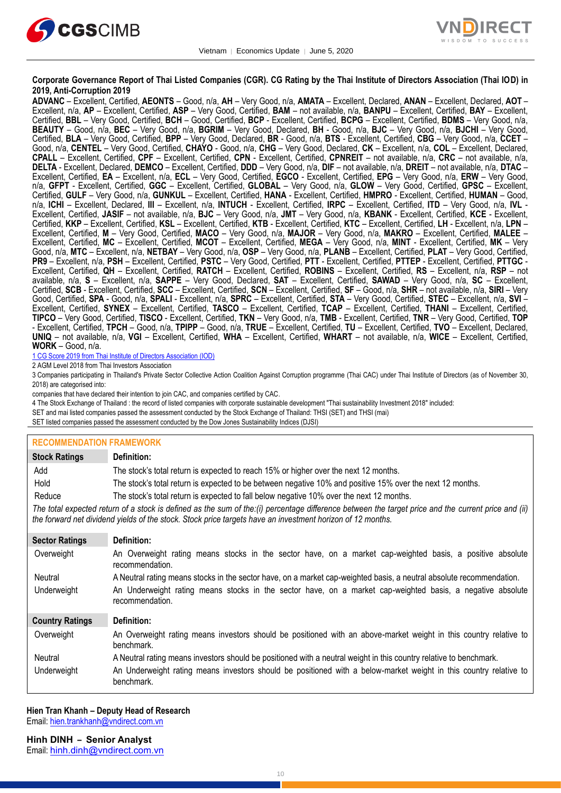



#### **Corporate Governance Report of Thai Listed Companies (CGR). CG Rating by the Thai Institute of Directors Association (Thai IOD) in 2019, Anti-Corruption 2019**

**ADVANC** – Excellent, Certified, **AEONTS** – Good, n/a, **AH** – Very Good, n/a, **AMATA** – Excellent, Declared, **ANAN** – Excellent, Declared, **AOT** – Excellent, n/a, **AP** – Excellent, Certified, **ASP** – Very Good, Certified, **BAM** – not available, n/a, **BANPU** – Excellent, Certified, **BAY** – Excellent, Certified, **BBL** – Very Good, Certified, **BCH** – Good, Certified, **BCP** - Excellent, Certified, **BCPG** – Excellent, Certified, **BDMS** – Very Good, n/a, **BEAUTY** – Good, n/a, **BEC** – Very Good, n/a, **BGRIM** – Very Good, Declared, **BH** - Good, n/a, **BJC** – Very Good, n/a, **BJCHI** – Very Good, Certified, **BLA** – Very Good, Certified, **BPP** – Very Good, Declared, **BR** - Good, n/a, **BTS** - Excellent, Certified, **CBG** – Very Good, n/a, **CCET** – Good, n/a, **CENTEL** – Very Good, Certified, **CHAYO** - Good, n/a, **CHG** – Very Good, Declared, **CK** – Excellent, n/a, **COL** – Excellent, Declared, **CPALL** – Excellent, Certified, **CPF** – Excellent, Certified, **CPN** - Excellent, Certified, **CPNREIT** – not available, n/a, **CRC** – not available, n/a, **DELTA** - Excellent, Declared, **DEMCO** – Excellent, Certified, **DDD** – Very Good, n/a, **DIF** – not available, n/a, **DREIT** – not available, n/a, **DTAC** – Excellent, Certified, **EA** – Excellent, n/a, **ECL** – Very Good, Certified, **EGCO** - Excellent, Certified, **EPG** – Very Good, n/a, **ERW** – Very Good, n/a, **GFPT** - Excellent, Certified, **GGC** – Excellent, Certified, **GLOBAL** – Very Good, n/a, **GLOW** – Very Good, Certified, **GPSC** – Excellent, Certified, **GULF** – Very Good, n/a, **GUNKUL** – Excellent, Certified, **HANA** - Excellent, Certified, **HMPRO** - Excellent, Certified, **HUMAN** – Good, n/a, **ICHI** – Excellent, Declared, **III** – Excellent, n/a, **INTUCH** - Excellent, Certified, **IRPC** – Excellent, Certified, **ITD** – Very Good, n/a, **IVL** - Excellent, Certified, **JASIF** – not available, n/a, **BJC** – Very Good, n/a, **JMT** – Very Good, n/a, **KBANK** - Excellent, Certified, **KCE** - Excellent, Certified, **KKP** – Excellent, Certified, **KSL** – Excellent, Certified, **KTB** - Excellent, Certified, **KTC** – Excellent, Certified, **LH** - Excellent, n/a, **LPN** – Excellent, Certified, **M** – Very Good, Certified, **MACO** – Very Good, n/a, **MAJOR** – Very Good, n/a, **MAKRO** – Excellent, Certified, **MALEE** – Excellent, Certified, **MC** – Excellent, Certified, **MCOT** – Excellent, Certified, **MEGA** – Very Good, n/a, **MINT** - Excellent, Certified, **MK** – Very Good, n/a, **MTC** – Excellent, n/a, **NETBAY** – Very Good, n/a, **OSP** – Very Good, n/a, **PLANB** – Excellent, Certified, **PLAT** – Very Good, Certified, **PR9** – Excellent, n/a, **PSH** – Excellent, Certified, **PSTC** – Very Good, Certified, **PTT** - Excellent, Certified, **PTTEP** - Excellent, Certified, **PTTGC** - Excellent, Certified, **QH** – Excellent, Certified, **RATCH** – Excellent, Certified, **ROBINS** – Excellent, Certified, **RS** – Excellent, n/a, **RSP** – not available, n/a, **S** – Excellent, n/a, **SAPPE** – Very Good, Declared, **SAT** – Excellent, Certified, **SAWAD** – Very Good, n/a, **SC** – Excellent, Certified, **SCB** - Excellent, Certified, **SCC** – Excellent, Certified, **SCN** – Excellent, Certified, **SF** – Good, n/a, **SHR** – not available, n/a, **SIRI** – Very Good, Certified, **SPA** - Good, n/a, **SPALI** - Excellent, n/a, **SPRC** – Excellent, Certified, **STA** – Very Good, Certified, **STEC** – Excellent, n/a, **SVI** – Excellent, Certified, **SYNEX** – Excellent, Certified, **TASCO** – Excellent, Certified, **TCAP** – Excellent, Certified, **THANI** – Excellent, Certified, **TIPCO** – Very Good, Certified, **TISCO** - Excellent, Certified, **TKN** – Very Good, n/a, **TMB** - Excellent, Certified, **TNR** – Very Good, Certified, **TOP** - Excellent, Certified, **TPCH** – Good, n/a, **TPIPP** – Good, n/a, **TRUE** – Excellent, Certified, **TU** – Excellent, Certified, **TVO** – Excellent, Declared, **UNIQ** – not available, n/a, **VGI** – Excellent, Certified, **WHA** – Excellent, Certified, **WHART** – not available, n/a, **WICE** – Excellent, Certified, **WORK** – Good, n/a.

1 CG Score 2019 from Thai Institute of Directors Association (IOD)

2 AGM Level 2018 from Thai Investors Association

3 Companies participating in Thailand's Private Sector Collective Action Coalition Against Corruption programme (Thai CAC) under Thai Institute of Directors (as of November 30, 2018) are categorised into:

companies that have declared their intention to join CAC, and companies certified by CAC.

4 [The Stock Exchange of Thailand : the record of listed companies with corporate sustainable development "Thai sustainability Investment 2018" included:](http://www.set.or.th/sustainable_dev/en/sr/sri/tsi_p1.html)

SET and mai listed companies passed the assessment conducted by the Stock Exchange of Thailand: THSI (SET) and THSI (mai)

SET listed companies passed the assessment conducted by the Dow Jones Sustainability Indices (DJSI)

#### **RECOMMENDATION FRAMEWORK**

| <b>Stock Ratings</b>                                                                                                                                                                                                                                              | Definition:                                                                                                                     |  |  |  |
|-------------------------------------------------------------------------------------------------------------------------------------------------------------------------------------------------------------------------------------------------------------------|---------------------------------------------------------------------------------------------------------------------------------|--|--|--|
| Add                                                                                                                                                                                                                                                               | The stock's total return is expected to reach 15% or higher over the next 12 months.                                            |  |  |  |
| Hold                                                                                                                                                                                                                                                              | The stock's total return is expected to be between negative 10% and positive 15% over the next 12 months.                       |  |  |  |
| Reduce                                                                                                                                                                                                                                                            | The stock's total return is expected to fall below negative 10% over the next 12 months.                                        |  |  |  |
| The total expected return of a stock is defined as the sum of the:(i) percentage difference between the target price and the current price and (ii)<br>the forward net dividend yields of the stock. Stock price targets have an investment horizon of 12 months. |                                                                                                                                 |  |  |  |
| <b>Sector Ratings</b>                                                                                                                                                                                                                                             | Definition:                                                                                                                     |  |  |  |
| Overweight                                                                                                                                                                                                                                                        | An Overweight rating means stocks in the sector have, on a market cap-weighted basis, a positive absolute<br>recommendation.    |  |  |  |
| Neutral                                                                                                                                                                                                                                                           | A Neutral rating means stocks in the sector have, on a market cap-weighted basis, a neutral absolute recommendation.            |  |  |  |
| Underweight                                                                                                                                                                                                                                                       | An Underweight rating means stocks in the sector have, on a market cap-weighted basis, a negative absolute<br>recommendation.   |  |  |  |
| <b>Country Ratings</b>                                                                                                                                                                                                                                            | Definition:                                                                                                                     |  |  |  |
| Overweight                                                                                                                                                                                                                                                        | An Overweight rating means investors should be positioned with an above-market weight in this country relative to<br>benchmark. |  |  |  |
| Neutral                                                                                                                                                                                                                                                           | A Neutral rating means investors should be positioned with a neutral weight in this country relative to benchmark.              |  |  |  |
| Underweight                                                                                                                                                                                                                                                       | An Underweight rating means investors should be positioned with a below-market weight in this country relative to<br>benchmark. |  |  |  |

#### **Hien Tran Khanh – Deputy Head of Research** Email: [hien.trankhanh@vndirect.com.vn](mailto:hien.trankhanh@vndirect.com.vn)

**Hinh DINH – Senior Analyst**

Email: [hinh.dinh@vndirect.com.vn](mailto:hinh.dinh@vndirect.com.vn)